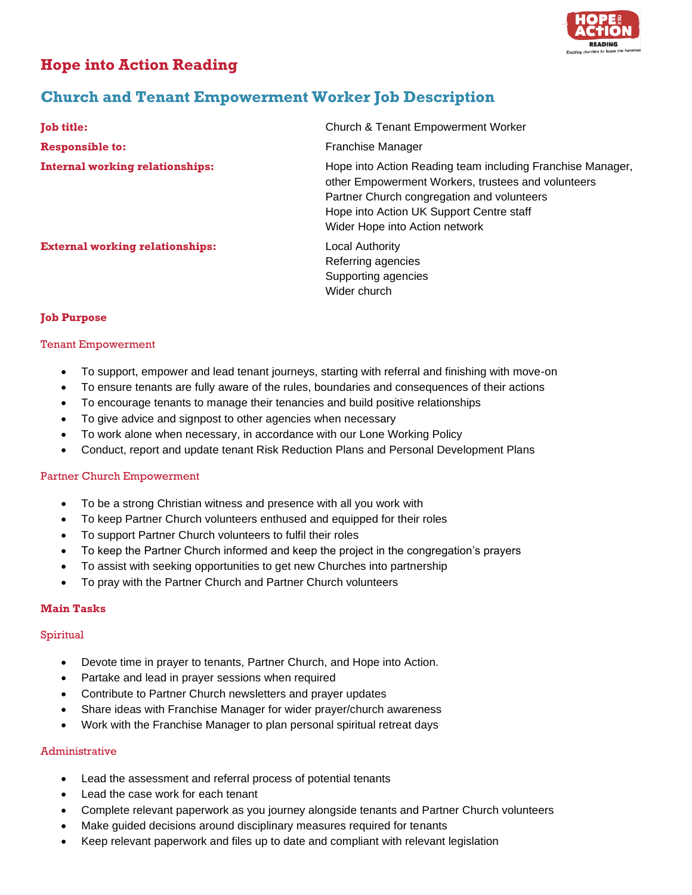# **Hope into Action Reading**



## **Church and Tenant Empowerment Worker Job Description**

| <b>Job title:</b>                      | Church & Tenant Empowerment Worker                                                                                                                                                                                                           |
|----------------------------------------|----------------------------------------------------------------------------------------------------------------------------------------------------------------------------------------------------------------------------------------------|
| <b>Responsible to:</b>                 | Franchise Manager                                                                                                                                                                                                                            |
| <b>Internal working relationships:</b> | Hope into Action Reading team including Franchise Manager,<br>other Empowerment Workers, trustees and volunteers<br>Partner Church congregation and volunteers<br>Hope into Action UK Support Centre staff<br>Wider Hope into Action network |
| <b>External working relationships:</b> | Local Authority<br>Referring agencies<br>Supporting agencies                                                                                                                                                                                 |

Wider church

### **Job Purpose**

### Tenant Empowerment

- To support, empower and lead tenant journeys, starting with referral and finishing with move-on
- To ensure tenants are fully aware of the rules, boundaries and consequences of their actions
- To encourage tenants to manage their tenancies and build positive relationships
- To give advice and signpost to other agencies when necessary
- To work alone when necessary, in accordance with our Lone Working Policy
- Conduct, report and update tenant Risk Reduction Plans and Personal Development Plans

### Partner Church Empowerment

- To be a strong Christian witness and presence with all you work with
- To keep Partner Church volunteers enthused and equipped for their roles
- To support Partner Church volunteers to fulfil their roles
- To keep the Partner Church informed and keep the project in the congregation's prayers
- To assist with seeking opportunities to get new Churches into partnership
- To pray with the Partner Church and Partner Church volunteers

### **Main Tasks**

### Spiritual

- Devote time in prayer to tenants, Partner Church, and Hope into Action.
- Partake and lead in prayer sessions when required
- Contribute to Partner Church newsletters and prayer updates
- Share ideas with Franchise Manager for wider prayer/church awareness
- Work with the Franchise Manager to plan personal spiritual retreat days

### **Administrative**

- Lead the assessment and referral process of potential tenants
- Lead the case work for each tenant
- Complete relevant paperwork as you journey alongside tenants and Partner Church volunteers
- Make guided decisions around disciplinary measures required for tenants
- Keep relevant paperwork and files up to date and compliant with relevant legislation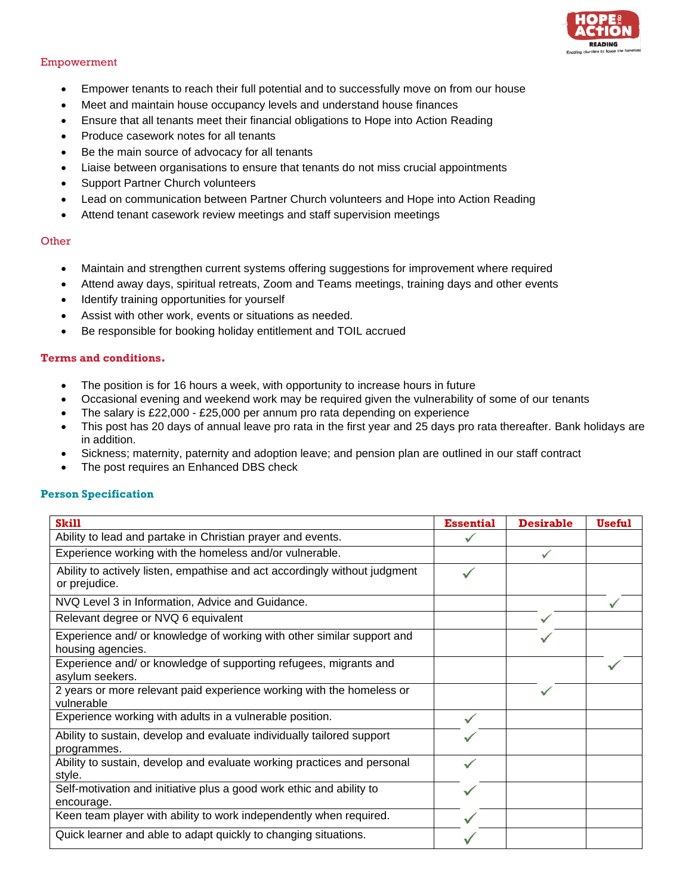

#### Empowerment

- Empower tenants to reach their full potential and to successfully move on from our house
- Meet and maintain house occupancy levels and understand house finances
- Ensure that all tenants meet their financial obligations to Hope into Action Reading
- Produce casework notes for all tenants
- Be the main source of advocacy for all tenants
- Liaise between organisations to ensure that tenants do not miss crucial appointments
- Support Partner Church volunteers
- Lead on communication between Partner Church volunteers and Hope into Action Reading
- Attend tenant casework review meetings and staff supervision meetings

### **Other**

- Maintain and strengthen current systems offering suggestions for improvement where required
- Attend away days, spiritual retreats, Zoom and Teams meetings, training days and other events
- Identify training opportunities for yourself
- Assist with other work, events or situations as needed.
- Be responsible for booking holiday entitlement and TOIL accrued

### **Terms and conditions.**

- The position is for 16 hours a week, with opportunity to increase hours in future
- Occasional evening and weekend work may be required given the vulnerability of some of our tenants
- The salary is £22,000 £25,000 per annum pro rata depending on experience
- This post has 20 days of annual leave pro rata in the first year and 25 days pro rata thereafter. Bank holidays are in addition.
- Sickness; maternity, paternity and adoption leave; and pension plan are outlined in our staff contract
- The post requires an Enhanced DBS check

### **Person Specification**

| <b>Skill</b>                                                                                | <b>Essential</b> | <b>Desirable</b> | <b>Useful</b> |
|---------------------------------------------------------------------------------------------|------------------|------------------|---------------|
| Ability to lead and partake in Christian prayer and events.                                 |                  |                  |               |
| Experience working with the homeless and/or vulnerable.                                     |                  | $\checkmark$     |               |
| Ability to actively listen, empathise and act accordingly without judgment<br>or prejudice. |                  |                  |               |
| NVQ Level 3 in Information, Advice and Guidance.                                            |                  |                  |               |
| Relevant degree or NVQ 6 equivalent                                                         |                  |                  |               |
| Experience and/ or knowledge of working with other similar support and<br>housing agencies. |                  |                  |               |
| Experience and/ or knowledge of supporting refugees, migrants and<br>asylum seekers.        |                  |                  |               |
| 2 years or more relevant paid experience working with the homeless or<br>vulnerable         |                  | $\checkmark$     |               |
| Experience working with adults in a vulnerable position.                                    |                  |                  |               |
| Ability to sustain, develop and evaluate individually tailored support<br>programmes.       |                  |                  |               |
| Ability to sustain, develop and evaluate working practices and personal<br>style.           |                  |                  |               |
| Self-motivation and initiative plus a good work ethic and ability to<br>encourage.          |                  |                  |               |
| Keen team player with ability to work independently when required.                          |                  |                  |               |
| Quick learner and able to adapt quickly to changing situations.                             |                  |                  |               |